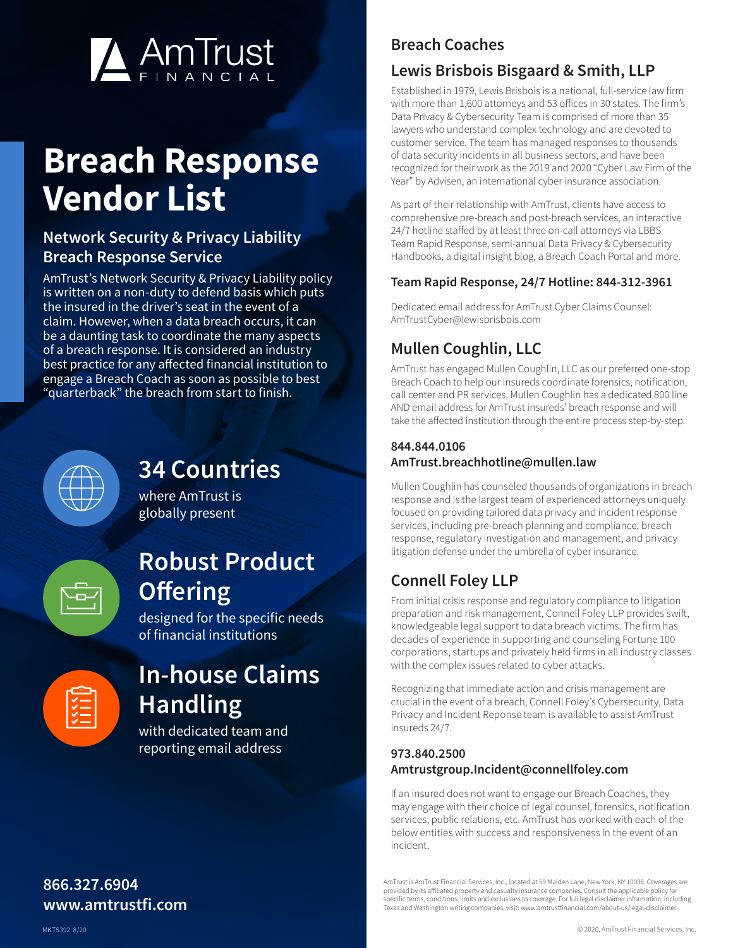

# **Breach Response Vendor List**

## **Network Security & Privacy Liability Breach Response Service**

AmTrust's Network Security & Privacy Liability policy is written on a non-duty to defend basis which puts the insured in the driver's seat in the event of a claim. However, when a data breach occurs, it can be a daunting task to coordinate the many aspects of a breach response. It is considered an industry best practice for any affected financial institution to engage a Breach Coach as soon as possible to best "quarterback" the breach from start to finish.



## **34 Countries**

where AmTrust is globally present

## **Robust Product Offering**

designed for the specific needs of financial institutions

| $\checkmark$                                                                      |  |
|-----------------------------------------------------------------------------------|--|
| $\sqrt{2}$<br>$\checkmark$ $-$<br>$\overline{\mathsf{v}}$ $\overline{\mathsf{v}}$ |  |
|                                                                                   |  |

## **In-house Claims Handling**

with dedicated team and reporting email address

## **Breach Coaches**

## **Lewis Brisbois Bisgaard & Smith, LLP**

Established in 1979, Lewis Brisbois is a national, full-service law firm with more than 1,600 attorneys and 53 offices in 30 states. The firm's Data Privacy & Cybersecurity Team is comprised of more than 35 lawyers who understand complex technology and are devoted to customer service. The team has managed responses to thousands of data security incidents in all business sectors, and have been recognized for their work as the 2019 and 2020 "Cyber Law Firm of the Year" by Advisen, an international cyber insurance association.

As part of their relationship with AmTrust, clients have access to comprehensive pre-breach and post-breach services, an interactive 24/7 hotline staffed by at least three on-call attorneys via LBBS Team Rapid Response, semi-annual Data Privacy & Cybersecurity Handbooks, a digital insight blog, a Breach Coach Portal and more.

#### **Team Rapid Response, 24/7 Hotline: 844-312-3961**

Dedicated email address for AmTrust Cyber Claims Counsel: [AmTrustCyber@lewisbrisbois.com](mailto:AmTrustCyber%40lewisbrisbois.com?subject=)

## **Mullen Coughlin, LLC**

AmTrust has engaged Mullen Coughlin, LLC as our preferred one-stop Breach Coach to help our insureds coordinate forensics, notification, call center and PR services. Mullen Coughlin has a dedicated 800 line AND email address for AmTrust insureds' breach response and will take the affected institution through the entire process step-by-step.

#### **844.844.0106 AmTrust.breachhotline@mullen.law**

Mullen Coughlin has counseled thousands of organizations in breach response and is the largest team of experienced attorneys uniquely focused on providing tailored data privacy and incident response services, including pre-breach planning and compliance, breach response, regulatory investigation and management, and privacy litigation defense under the umbrella of cyber insurance.

## **Connell Foley LLP**

From initial crisis response and regulatory compliance to litigation preparation and risk management, Connell Foley LLP provides swift, knowledgeable legal support to data breach victims. The firm has decades of experience in supporting and counseling Fortune 100 corporations, startups and privately held firms in all industry classes with the complex issues related to cyber attacks.

Recognizing that immediate action and crisis management are crucial in the event of a breach, Connell Foley's Cybersecurity, Data Privacy and Incident Reponse team is available to assist AmTrust insureds 24/7.

#### **973.840.2500 Amtrustgroup.Incident@connellfoley.com**

If an insured does not want to engage our Breach Coaches, they may engage with their choice of legal counsel, forensics, notification services, public relations, etc. AmTrust has worked with each of the below entities with success and responsiveness in the event of an incident.

AmTrust is AmTrust Financial Services, Inc., located at 59 Maiden Lane, New York, NY 10038. Coverages are provided by its affiliated property and casualty insurance companies. Consult the applicable policy fo specific terms, conditions, limits and exclusions to coverage. For full legal disclaimer information, including Texas and Washington writing companies, visit: www.amtrustfinancial.com/about-us/legal-disclaimer.

## **866.327.6904 www.amtrustfi.com**